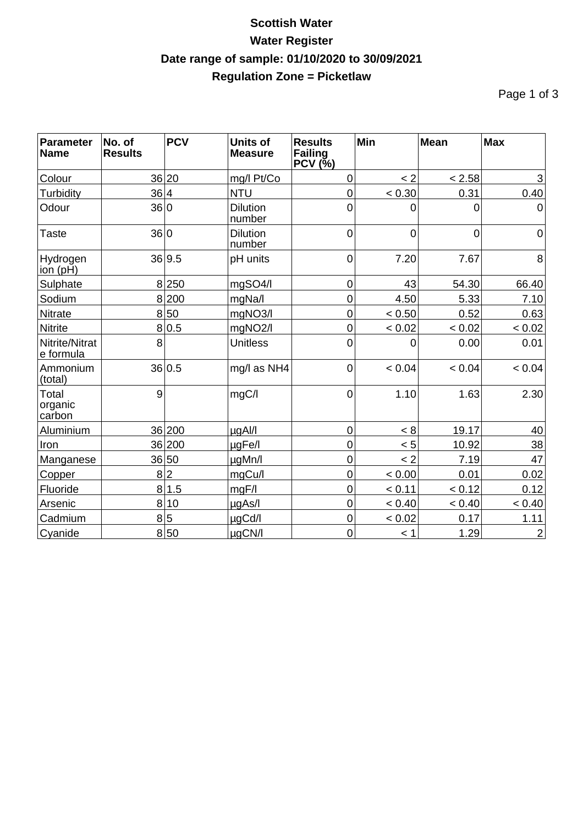## **Scottish Water Water Register Date range of sample: 01/10/2020 to 30/09/2021 Regulation Zone = Picketlaw**

Page 1 of 3

| <b>Parameter</b><br><b>Name</b>   | No. of<br><b>Results</b> | <b>PCV</b> | <b>Units of</b><br><b>Measure</b> | <b>Results</b><br>Failing<br>$PCV$ $(\bar\%)$ | Min    | <b>Mean</b>    | <b>Max</b>     |
|-----------------------------------|--------------------------|------------|-----------------------------------|-----------------------------------------------|--------|----------------|----------------|
| Colour                            |                          | 36 20      | mg/l Pt/Co                        | 0                                             | < 2    | < 2.58         | 3              |
| Turbidity                         | 36 4                     |            | <b>NTU</b>                        | $\mathbf 0$                                   | < 0.30 | 0.31           | 0.40           |
| Odour                             | 36 0                     |            | <b>Dilution</b><br>number         | 0                                             | 0      | 0              | $\Omega$       |
| <b>Taste</b>                      | 36 0                     |            | <b>Dilution</b><br>number         | $\overline{0}$                                | 0      | $\overline{0}$ | $\mathbf 0$    |
| Hydrogen<br>$\overline{ion}$ (pH) |                          | 36 9.5     | pH units                          | 0                                             | 7.20   | 7.67           | 8              |
| Sulphate                          |                          | 8250       | mgSO4/l                           | $\mathbf 0$                                   | 43     | 54.30          | 66.40          |
| Sodium                            | 8                        | 200        | mgNa/l                            | $\overline{0}$                                | 4.50   | 5.33           | 7.10           |
| <b>Nitrate</b>                    |                          | 8 50       | mgNO3/l                           | $\mathbf 0$                                   | < 0.50 | 0.52           | 0.63           |
| <b>Nitrite</b>                    | 8 <sup>1</sup>           | 0.5        | mgNO <sub>2</sub> /l              | $\mathbf 0$                                   | < 0.02 | < 0.02         | < 0.02         |
| Nitrite/Nitrat<br>e formula       | 8                        |            | <b>Unitless</b>                   | $\overline{0}$                                | 0      | 0.00           | 0.01           |
| Ammonium<br>(total)               |                          | 36 0.5     | mg/l as NH4                       | $\overline{0}$                                | < 0.04 | < 0.04         | < 0.04         |
| Total<br>organic<br>carbon        | 9                        |            | mgC/l                             | $\overline{0}$                                | 1.10   | 1.63           | 2.30           |
| Aluminium                         |                          | 36 200     | µgAl/l                            | $\overline{0}$                                | < 8    | 19.17          | 40             |
| Iron                              |                          | 36 200     | µgFe/l                            | 0                                             | < 5    | 10.92          | 38             |
| Manganese                         |                          | 36 50      | µgMn/l                            | 0                                             | < 2    | 7.19           | 47             |
| Copper                            |                          | 8 2        | mgCu/l                            | $\overline{0}$                                | < 0.00 | 0.01           | 0.02           |
| Fluoride                          |                          | 8 1.5      | mgF/l                             | $\mathbf 0$                                   | < 0.11 | < 0.12         | 0.12           |
| Arsenic                           |                          | 8 10       | µgAs/l                            | $\mathbf 0$                                   | < 0.40 | < 0.40         | < 0.40         |
| Cadmium                           |                          | 8 5        | µgCd/l                            | 0                                             | < 0.02 | 0.17           | 1.11           |
| Cyanide                           |                          | 8 50       | µgCN/I                            | $\mathsf 0$                                   | < 1    | 1.29           | $\overline{2}$ |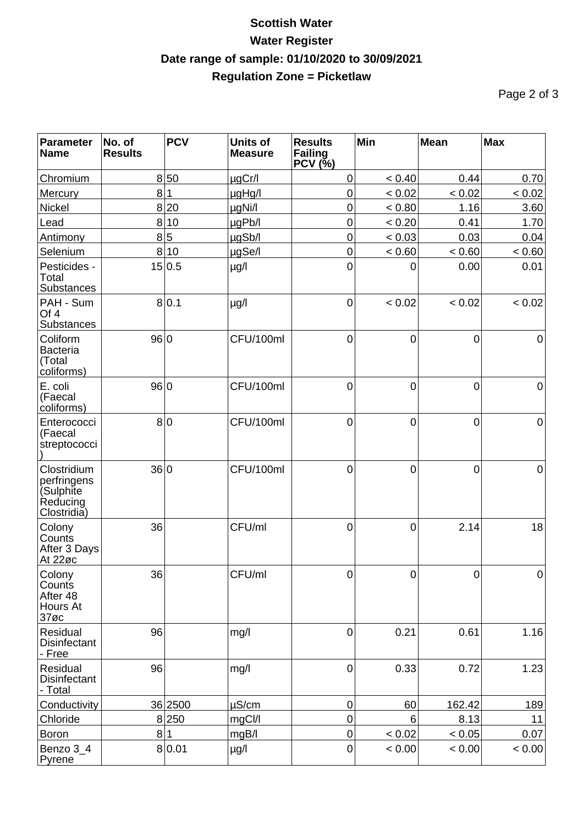## **Scottish Water Water Register Date range of sample: 01/10/2020 to 30/09/2021 Regulation Zone = Picketlaw**

Page 2 of 3

| <b>Parameter</b><br><b>Name</b>                                    | No. of<br><b>Results</b> | <b>PCV</b> | <b>Units of</b><br><b>Measure</b> | <b>Results</b><br><b>Failing</b><br>PCV (N) | Min         | Mean           | <b>Max</b>  |
|--------------------------------------------------------------------|--------------------------|------------|-----------------------------------|---------------------------------------------|-------------|----------------|-------------|
| Chromium                                                           |                          | 8 50       | µgCr/l                            | $\mathbf 0$                                 | < 0.40      | 0.44           | 0.70        |
| Mercury                                                            | 8                        |            | µgHg/l                            | $\mathbf 0$                                 | < 0.02      | < 0.02         | < 0.02      |
| <b>Nickel</b>                                                      | 8                        | 20         | µgNi/l                            | $\mathbf 0$                                 | < 0.80      | 1.16           | 3.60        |
| Lead                                                               |                          | 8 10       | µgPb/l                            | $\mathbf 0$                                 | < 0.20      | 0.41           | 1.70        |
| Antimony                                                           | 8                        | 5          | µgSb/l                            | $\mathbf 0$                                 | < 0.03      | 0.03           | 0.04        |
| Selenium                                                           |                          | 8 10       | µgSe/l                            | $\mathbf 0$                                 | < 0.60      | < 0.60         | < 0.60      |
| Pesticides -<br>Total<br>Substances                                |                          | 15 0.5     | $\mu$ g/l                         | 0                                           | 0           | 0.00           | 0.01        |
| PAH - Sum<br>Of 4<br>Substances                                    |                          | 8 0.1      | $\mu$ g/l                         | $\overline{0}$                              | < 0.02      | < 0.02         | < 0.02      |
| Coliform<br><b>Bacteria</b><br>(Total<br>coliforms)                | 96 0                     |            | CFU/100ml                         | $\mathbf 0$                                 | $\mathbf 0$ | 0              | $\mathbf 0$ |
| E. coli<br>(Faecal<br>coliforms)                                   | 96 0                     |            | CFU/100ml                         | $\mathbf 0$                                 | $\mathbf 0$ | 0              | $\mathbf 0$ |
| Enterococci<br>(Faecal<br>streptococci                             |                          | 8 0        | CFU/100ml                         | $\mathbf 0$                                 | $\mathbf 0$ | $\overline{0}$ | $\mathbf 0$ |
| Clostridium<br>perfringens<br>(Sulphite<br>Reducing<br>Clostridia) | 36 0                     |            | CFU/100ml                         | $\overline{0}$                              | $\mathbf 0$ | $\overline{0}$ | $\mathbf 0$ |
| Colony<br>Counts<br>After 3 Days<br>At 22øc                        | 36                       |            | CFU/ml                            | $\mathbf 0$                                 | $\mathbf 0$ | 2.14           | 18          |
| Colony<br>Counts<br>After 48<br>Hours At<br>$37\%c$                | 36                       |            | CFU/ml                            | 0                                           | $\pmb{0}$   | 0              | 0           |
| Residual<br><b>Disinfectant</b><br>- Free                          | 96                       |            | mg/l                              | $\overline{0}$                              | 0.21        | 0.61           | 1.16        |
| Residual<br><b>Disinfectant</b><br>- Total                         | 96                       |            | mg/l                              | $\pmb{0}$                                   | 0.33        | 0.72           | 1.23        |
| Conductivity                                                       |                          | 36 2500    | $\mu$ S/cm                        | $\pmb{0}$                                   | 60          | 162.42         | 189         |
| Chloride                                                           |                          | 8 250      | mgCl/l                            | $\mathbf 0$                                 | 6           | 8.13           | 11          |
| <b>Boron</b>                                                       | 8 1                      |            | mgB/l                             | $\pmb{0}$                                   | < 0.02      | < 0.05         | 0.07        |
| Benzo 3_4<br>Pyrene                                                |                          | 8 0.01     | µg/l                              | $\pmb{0}$                                   | < 0.00      | < 0.00         | < 0.00      |